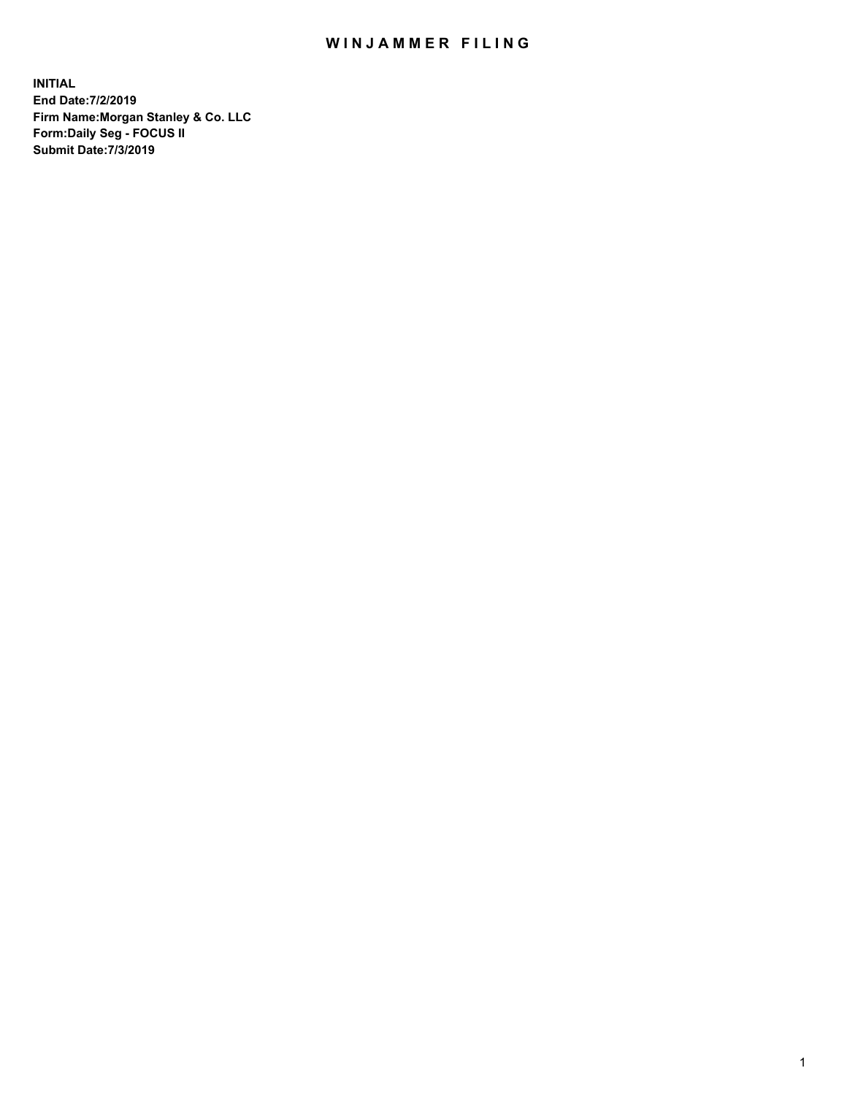## WIN JAMMER FILING

**INITIAL End Date:7/2/2019 Firm Name:Morgan Stanley & Co. LLC Form:Daily Seg - FOCUS II Submit Date:7/3/2019**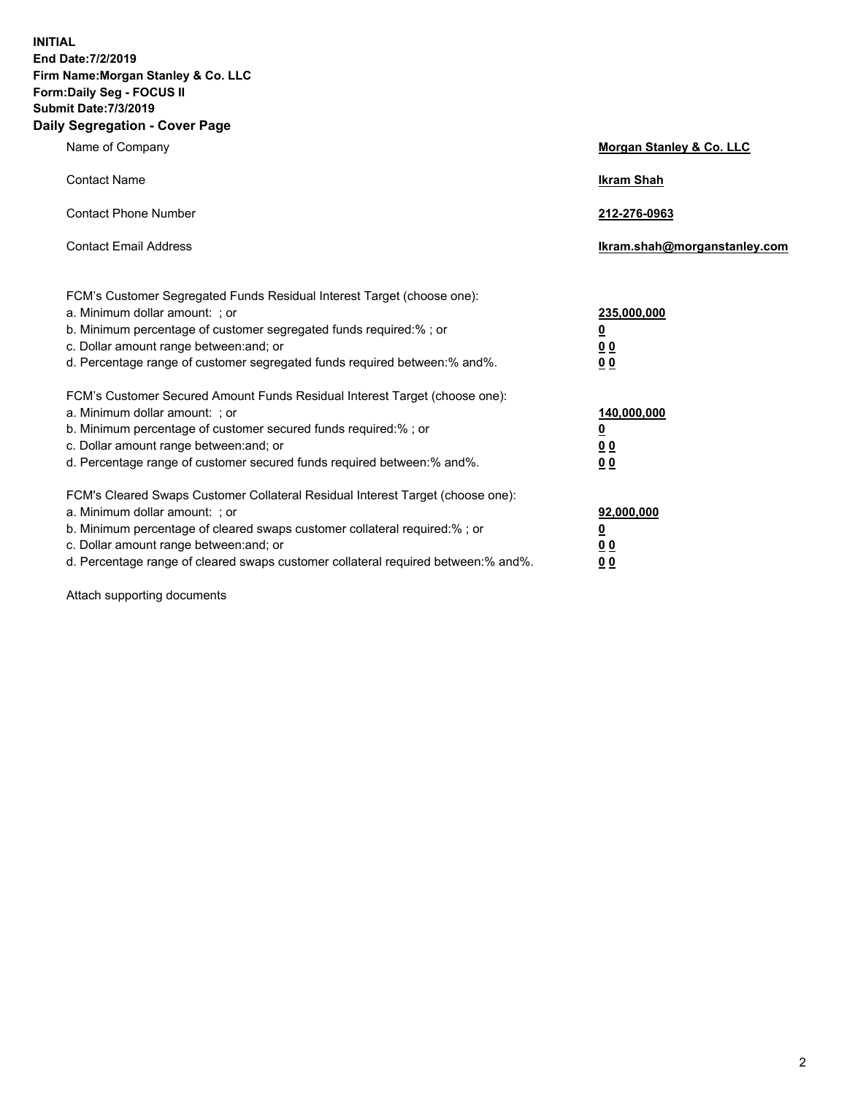**INITIAL End Date:7/2/2019 Firm Name:Morgan Stanley & Co. LLC Form:Daily Seg - FOCUS II Submit Date:7/3/2019 Daily Segregation - Cover Page**

| Name of Company                                                                                                                                                                                                                                                                                                                | <b>Morgan Stanley &amp; Co. LLC</b>                     |
|--------------------------------------------------------------------------------------------------------------------------------------------------------------------------------------------------------------------------------------------------------------------------------------------------------------------------------|---------------------------------------------------------|
| <b>Contact Name</b>                                                                                                                                                                                                                                                                                                            | <b>Ikram Shah</b>                                       |
| <b>Contact Phone Number</b>                                                                                                                                                                                                                                                                                                    | 212-276-0963                                            |
| <b>Contact Email Address</b>                                                                                                                                                                                                                                                                                                   | Ikram.shah@morganstanley.com                            |
| FCM's Customer Segregated Funds Residual Interest Target (choose one):<br>a. Minimum dollar amount: ; or<br>b. Minimum percentage of customer segregated funds required:% ; or<br>c. Dollar amount range between: and; or                                                                                                      | 235,000,000<br><u>0</u><br><u>00</u>                    |
| d. Percentage range of customer segregated funds required between: % and %.                                                                                                                                                                                                                                                    | 0 Q                                                     |
| FCM's Customer Secured Amount Funds Residual Interest Target (choose one):<br>a. Minimum dollar amount: ; or<br>b. Minimum percentage of customer secured funds required:%; or<br>c. Dollar amount range between: and; or<br>d. Percentage range of customer secured funds required between:% and%.                            | 140,000,000<br><u>0</u><br><u>0 0</u><br>0 <sub>0</sub> |
| FCM's Cleared Swaps Customer Collateral Residual Interest Target (choose one):<br>a. Minimum dollar amount: ; or<br>b. Minimum percentage of cleared swaps customer collateral required:% ; or<br>c. Dollar amount range between: and; or<br>d. Percentage range of cleared swaps customer collateral required between:% and%. | 92,000,000<br><u>0</u><br>00<br>00                      |

Attach supporting documents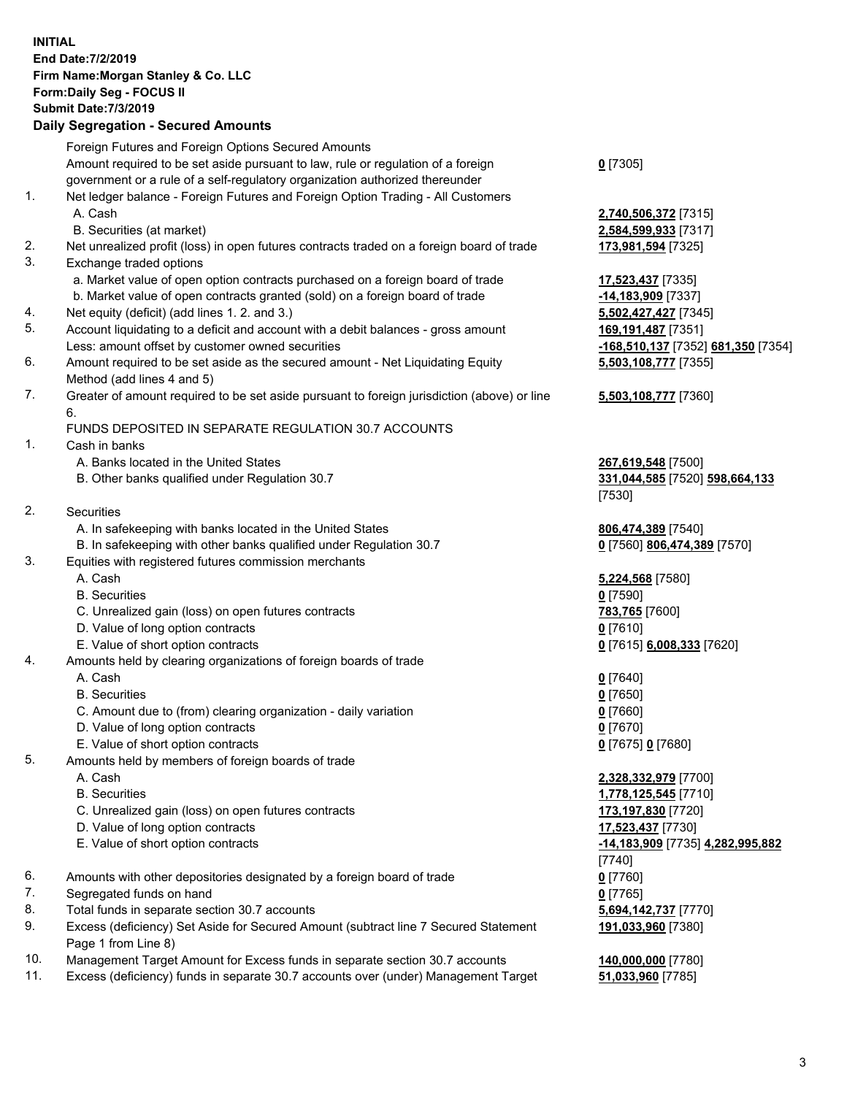| <b>INITIAL</b> | End Date: 7/2/2019<br>Firm Name: Morgan Stanley & Co. LLC<br>Form: Daily Seg - FOCUS II<br><b>Submit Date: 7/3/2019</b><br><b>Daily Segregation - Secured Amounts</b> |                                            |
|----------------|-----------------------------------------------------------------------------------------------------------------------------------------------------------------------|--------------------------------------------|
|                | Foreign Futures and Foreign Options Secured Amounts<br>Amount required to be set aside pursuant to law, rule or regulation of a foreign                               | $0$ [7305]                                 |
|                | government or a rule of a self-regulatory organization authorized thereunder                                                                                          |                                            |
| 1.             | Net ledger balance - Foreign Futures and Foreign Option Trading - All Customers                                                                                       |                                            |
|                | A. Cash                                                                                                                                                               | 2,740,506,372 [7315]                       |
|                | B. Securities (at market)                                                                                                                                             | 2,584,599,933 [7317]                       |
| 2.             | Net unrealized profit (loss) in open futures contracts traded on a foreign board of trade                                                                             | 173,981,594 [7325]                         |
| 3.             | Exchange traded options                                                                                                                                               |                                            |
|                | a. Market value of open option contracts purchased on a foreign board of trade                                                                                        | 17,523,437 [7335]                          |
| 4.             | b. Market value of open contracts granted (sold) on a foreign board of trade<br>Net equity (deficit) (add lines 1.2. and 3.)                                          | -14,183,909 [7337]<br>5,502,427,427 [7345] |
| 5.             | Account liquidating to a deficit and account with a debit balances - gross amount                                                                                     | 169,191,487 [7351]                         |
|                | Less: amount offset by customer owned securities                                                                                                                      | -168,510,137 [7352] 681,350 [7354]         |
| 6.             | Amount required to be set aside as the secured amount - Net Liquidating Equity                                                                                        | 5,503,108,777 [7355]                       |
|                | Method (add lines 4 and 5)                                                                                                                                            |                                            |
| 7.             | Greater of amount required to be set aside pursuant to foreign jurisdiction (above) or line                                                                           | 5,503,108,777 [7360]                       |
|                | 6.                                                                                                                                                                    |                                            |
| 1.             | FUNDS DEPOSITED IN SEPARATE REGULATION 30.7 ACCOUNTS<br>Cash in banks                                                                                                 |                                            |
|                | A. Banks located in the United States                                                                                                                                 | 267,619,548 [7500]                         |
|                | B. Other banks qualified under Regulation 30.7                                                                                                                        | 331,044,585 [7520] 598,664,133             |
|                |                                                                                                                                                                       | [7530]                                     |
| 2.             | Securities                                                                                                                                                            |                                            |
|                | A. In safekeeping with banks located in the United States                                                                                                             | 806,474,389 [7540]                         |
|                | B. In safekeeping with other banks qualified under Regulation 30.7                                                                                                    | 0 [7560] 806,474,389 [7570]                |
| 3.             | Equities with registered futures commission merchants                                                                                                                 |                                            |
|                | A. Cash                                                                                                                                                               | 5,224,568 [7580]                           |
|                | <b>B.</b> Securities<br>C. Unrealized gain (loss) on open futures contracts                                                                                           | $0$ [7590]                                 |
|                | D. Value of long option contracts                                                                                                                                     | 783,765 [7600]<br>$0$ [7610]               |
|                | E. Value of short option contracts                                                                                                                                    | 0 [7615] 6,008,333 [7620]                  |
| 4.             | Amounts held by clearing organizations of foreign boards of trade                                                                                                     |                                            |
|                | A. Cash                                                                                                                                                               | $0$ [7640]                                 |
|                | <b>B.</b> Securities                                                                                                                                                  | $0$ [7650]                                 |
|                | C. Amount due to (from) clearing organization - daily variation                                                                                                       | $0$ [7660]                                 |
|                | D. Value of long option contracts                                                                                                                                     | $0$ [7670]                                 |
|                | E. Value of short option contracts                                                                                                                                    | 0 [7675] 0 [7680]                          |
| 5.             | Amounts held by members of foreign boards of trade                                                                                                                    |                                            |
|                | A. Cash<br><b>B.</b> Securities                                                                                                                                       | 2,328,332,979 [7700]                       |
|                | C. Unrealized gain (loss) on open futures contracts                                                                                                                   | 1,778,125,545 [7710]<br>173,197,830 [7720] |
|                | D. Value of long option contracts                                                                                                                                     | 17,523,437 [7730]                          |
|                | E. Value of short option contracts                                                                                                                                    | -14,183,909 [7735] 4,282,995,882           |
|                |                                                                                                                                                                       | $[7740]$                                   |
| 6.             | Amounts with other depositories designated by a foreign board of trade                                                                                                | $0$ [7760]                                 |
| 7.             | Segregated funds on hand                                                                                                                                              | $0$ [7765]                                 |
| 8.             | Total funds in separate section 30.7 accounts                                                                                                                         | 5,694,142,737 [7770]                       |
| 9.             | Excess (deficiency) Set Aside for Secured Amount (subtract line 7 Secured Statement                                                                                   | 191,033,960 [7380]                         |
|                | Page 1 from Line 8)                                                                                                                                                   |                                            |
| 10.            | Management Target Amount for Excess funds in separate section 30.7 accounts                                                                                           | 140,000,000 [7780]                         |

11. Excess (deficiency) funds in separate 30.7 accounts over (under) Management Target **51,033,960** [7785]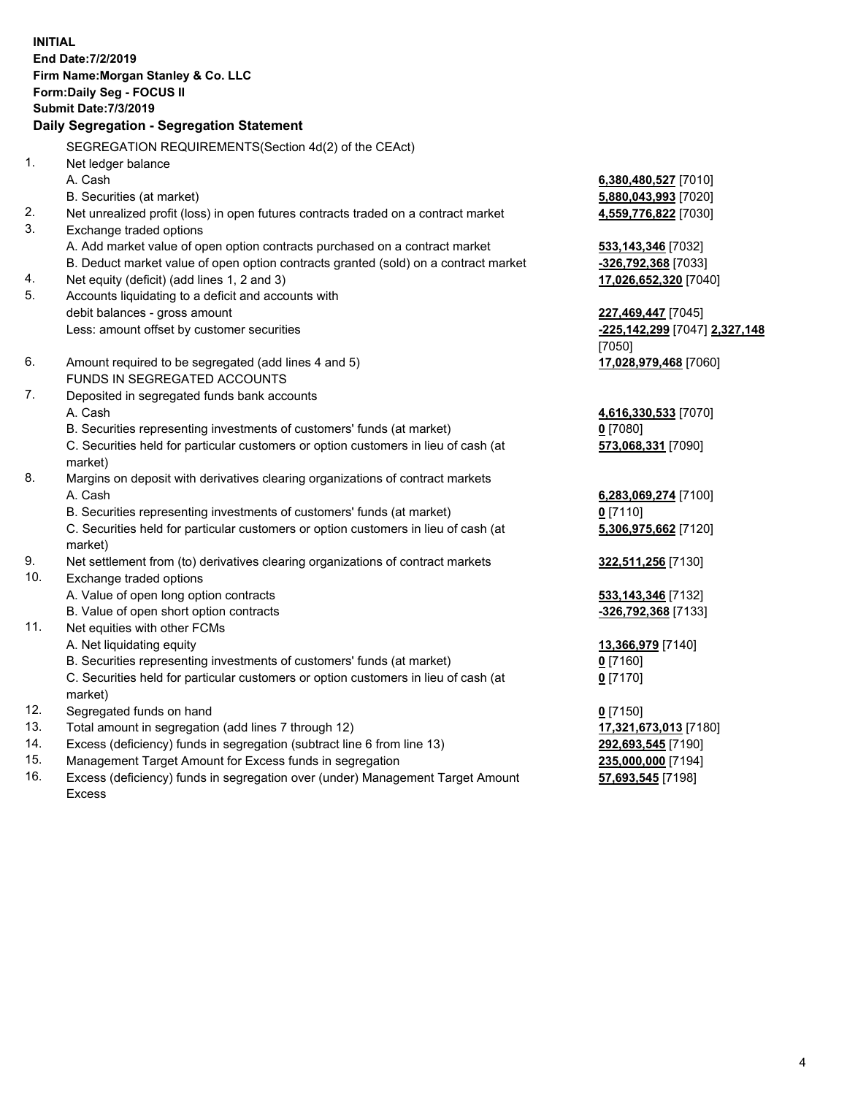**INITIAL End Date:7/2/2019 Firm Name:Morgan Stanley & Co. LLC Form:Daily Seg - FOCUS II Submit Date:7/3/2019 Daily Segregation - Segregation Statement** SEGREGATION REQUIREMENTS(Section 4d(2) of the CEAct) 1. Net ledger balance A. Cash **6,380,480,527** [7010] B. Securities (at market) **5,880,043,993** [7020] 2. Net unrealized profit (loss) in open futures contracts traded on a contract market **4,559,776,822** [7030] 3. Exchange traded options A. Add market value of open option contracts purchased on a contract market **533,143,346** [7032] B. Deduct market value of open option contracts granted (sold) on a contract market **-326,792,368** [7033] 4. Net equity (deficit) (add lines 1, 2 and 3) **17,026,652,320** [7040] 5. Accounts liquidating to a deficit and accounts with debit balances - gross amount **227,469,447** [7045] Less: amount offset by customer securities **-225,142,299** [7047] **2,327,148** [7050] 6. Amount required to be segregated (add lines 4 and 5) **17,028,979,468** [7060] FUNDS IN SEGREGATED ACCOUNTS 7. Deposited in segregated funds bank accounts A. Cash **4,616,330,533** [7070] B. Securities representing investments of customers' funds (at market) **0** [7080] C. Securities held for particular customers or option customers in lieu of cash (at market) **573,068,331** [7090] 8. Margins on deposit with derivatives clearing organizations of contract markets A. Cash **6,283,069,274** [7100] B. Securities representing investments of customers' funds (at market) **0** [7110] C. Securities held for particular customers or option customers in lieu of cash (at market) **5,306,975,662** [7120] 9. Net settlement from (to) derivatives clearing organizations of contract markets **322,511,256** [7130] 10. Exchange traded options A. Value of open long option contracts **533,143,346** [7132] B. Value of open short option contracts **-326,792,368** [7133] 11. Net equities with other FCMs A. Net liquidating equity **13,366,979** [7140] B. Securities representing investments of customers' funds (at market) **0** [7160] C. Securities held for particular customers or option customers in lieu of cash (at market) **0** [7170] 12. Segregated funds on hand **0** [7150] 13. Total amount in segregation (add lines 7 through 12) **17,321,673,013** [7180] 14. Excess (deficiency) funds in segregation (subtract line 6 from line 13) **292,693,545** [7190] 15. Management Target Amount for Excess funds in segregation **235,000,000** [7194]

16. Excess (deficiency) funds in segregation over (under) Management Target Amount Excess

**57,693,545** [7198]